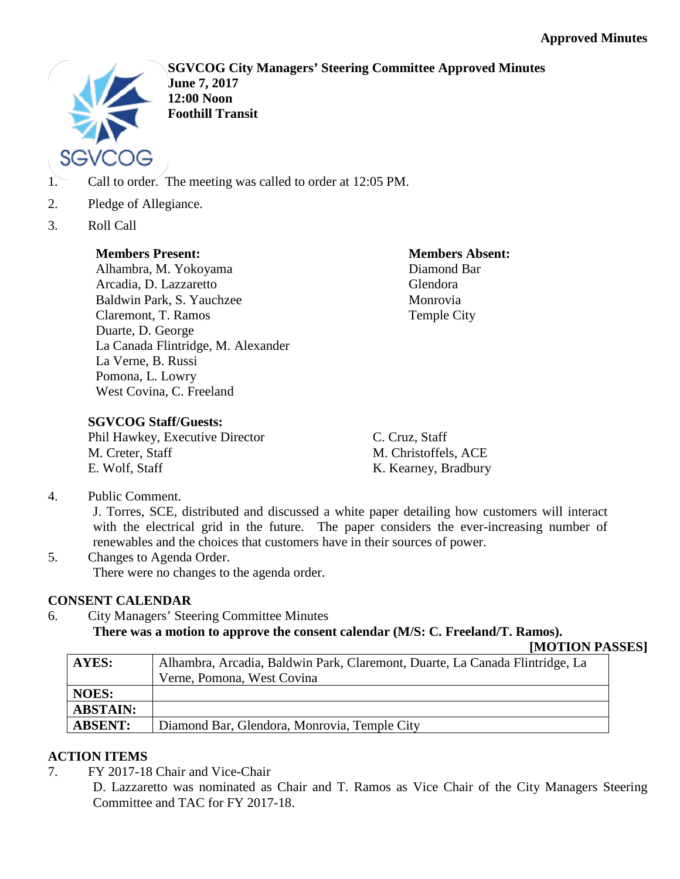

**SGVCOG City Managers' Steering Committee Approved Minutes June 7, 2017 12:00 Noon Foothill Transit**

- 1. Call to order. The meeting was called to order at 12:05 PM.
- 2. Pledge of Allegiance.
- 3. Roll Call

## **Members Present:**

Alhambra, M. Yokoyama Arcadia, D. Lazzaretto Baldwin Park, S. Yauchzee Claremont, T. Ramos Duarte, D. George La Canada Flintridge, M. Alexander La Verne, B. Russi Pomona, L. Lowry West Covina, C. Freeland

**Members Absent:** Diamond Bar Glendora Monrovia Temple City

# **SGVCOG Staff/Guests:**

Phil Hawkey, Executive Director M. Creter, Staff E. Wolf, Staff

C. Cruz, Staff M. Christoffels, ACE K. Kearney, Bradbury

4. Public Comment.

J. Torres, SCE, distributed and discussed a white paper detailing how customers will interact with the electrical grid in the future. The paper considers the ever-increasing number of renewables and the choices that customers have in their sources of power.

5. Changes to Agenda Order. There were no changes to the agenda order.

# **CONSENT CALENDAR**

6. City Managers' Steering Committee Minutes

**There was a motion to approve the consent calendar (M/S: C. Freeland/T. Ramos).**

**<sup>[</sup>MOTION PASSES]**

| AYES:           | Alhambra, Arcadia, Baldwin Park, Claremont, Duarte, La Canada Flintridge, La |
|-----------------|------------------------------------------------------------------------------|
|                 | Verne, Pomona, West Covina                                                   |
| <b>NOES:</b>    |                                                                              |
| <b>ABSTAIN:</b> |                                                                              |
| <b>ABSENT:</b>  | Diamond Bar, Glendora, Monrovia, Temple City                                 |

## **ACTION ITEMS**

7. FY 2017-18 Chair and Vice-Chair

D. Lazzaretto was nominated as Chair and T. Ramos as Vice Chair of the City Managers Steering Committee and TAC for FY 2017-18.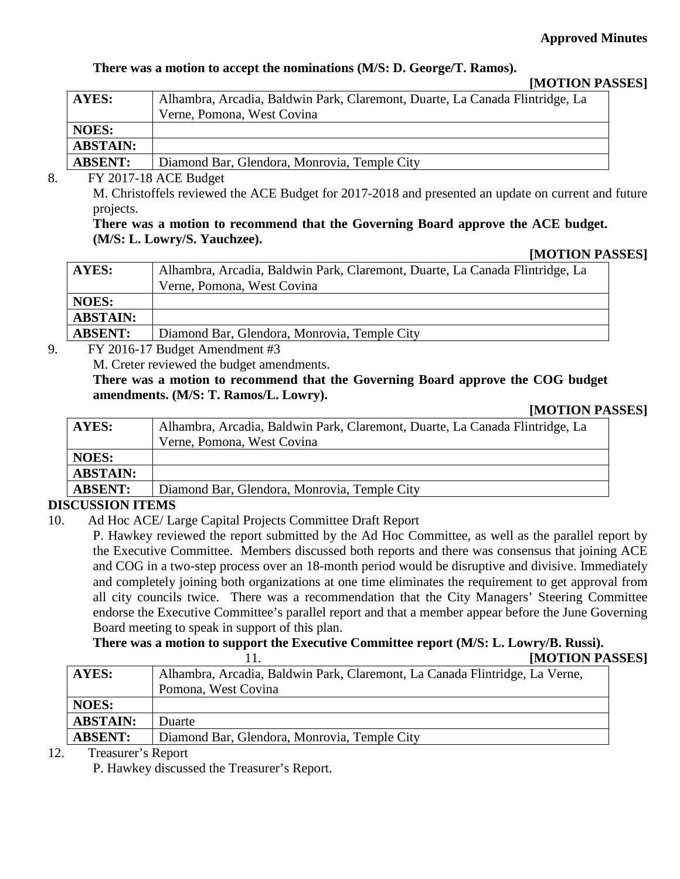## **Approved Minutes**

## **There was a motion to accept the nominations (M/S: D. George/T. Ramos).**

#### **[MOTION PASSES]**

| AYES:              | Alhambra, Arcadia, Baldwin Park, Claremont, Duarte, La Canada Flintridge, La<br>Verne, Pomona, West Covina |
|--------------------|------------------------------------------------------------------------------------------------------------|
| <b>NOES:</b>       |                                                                                                            |
| <b>ABSTAIN:</b>    |                                                                                                            |
| <b>ABSENT:</b>     | Diamond Bar, Glendora, Monrovia, Temple City                                                               |
| __________________ |                                                                                                            |

#### 8. FY 2017-18 ACE Budget

M. Christoffels reviewed the ACE Budget for 2017-2018 and presented an update on current and future projects.

### **There was a motion to recommend that the Governing Board approve the ACE budget. (M/S: L. Lowry/S. Yauchzee).**

### **[MOTION PASSES]**

| AYES:           | Alhambra, Arcadia, Baldwin Park, Claremont, Duarte, La Canada Flintridge, La |  |
|-----------------|------------------------------------------------------------------------------|--|
|                 | Verne, Pomona, West Covina                                                   |  |
| <b>NOES:</b>    |                                                                              |  |
| <b>ABSTAIN:</b> |                                                                              |  |
| <b>ABSENT:</b>  | Diamond Bar, Glendora, Monrovia, Temple City                                 |  |
|                 |                                                                              |  |

9. FY 2016-17 Budget Amendment #3

M. Creter reviewed the budget amendments.

**There was a motion to recommend that the Governing Board approve the COG budget amendments. (M/S: T. Ramos/L. Lowry).**

#### **[MOTION PASSES]**

| <b>AYES:</b>    | Alhambra, Arcadia, Baldwin Park, Claremont, Duarte, La Canada Flintridge, La |
|-----------------|------------------------------------------------------------------------------|
|                 | Verne, Pomona, West Covina                                                   |
| <b>NOES:</b>    |                                                                              |
| <b>ABSTAIN:</b> |                                                                              |
| <b>ABSENT:</b>  | Diamond Bar, Glendora, Monrovia, Temple City                                 |
|                 |                                                                              |

### **DISCUSSION ITEMS**

10. Ad Hoc ACE/ Large Capital Projects Committee Draft Report

P. Hawkey reviewed the report submitted by the Ad Hoc Committee, as well as the parallel report by the Executive Committee. Members discussed both reports and there was consensus that joining ACE and COG in a two-step process over an 18-month period would be disruptive and divisive. Immediately and completely joining both organizations at one time eliminates the requirement to get approval from all city councils twice. There was a recommendation that the City Managers' Steering Committee endorse the Executive Committee's parallel report and that a member appear before the June Governing Board meeting to speak in support of this plan.

**There was a motion to support the Executive Committee report (M/S: L. Lowry/B. Russi). IMOTION PASSES]** 

|                 | <b>HVIO LIUIN LAN</b>                                                       |  |
|-----------------|-----------------------------------------------------------------------------|--|
| <b>AYES:</b>    | Alhambra, Arcadia, Baldwin Park, Claremont, La Canada Flintridge, La Verne, |  |
|                 | Pomona, West Covina                                                         |  |
| <b>NOES:</b>    |                                                                             |  |
| <b>ABSTAIN:</b> | <b>Duarte</b>                                                               |  |
| <b>ABSENT:</b>  | Diamond Bar, Glendora, Monrovia, Temple City                                |  |
|                 |                                                                             |  |

#### 12. Treasurer's Report

P. Hawkey discussed the Treasurer's Report.